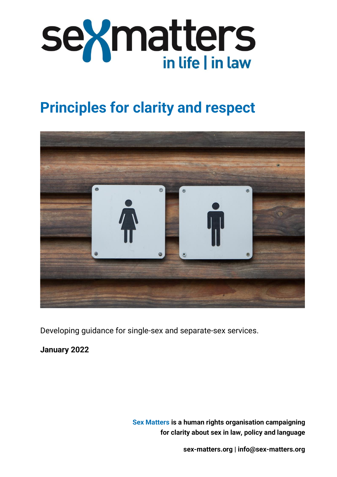

# **Principles for clarity and respect**



Developing guidance for single-sex and separate-sex services.

**January 2022**

**Sex Matters is a human rights organisation campaigning for clarity about sex in law, policy and language**

**[sex-matters.org](https://sex-matters.org/) | [info@sex-matters.org](mailto:info@sex-matters.org)**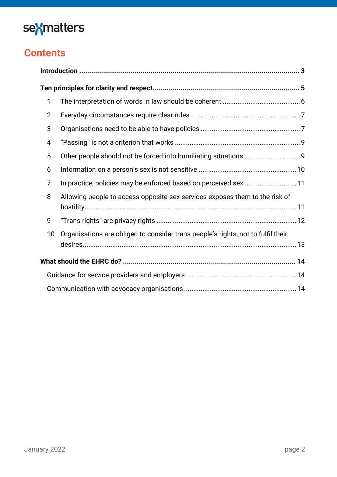# sexmatters

## **Contents**

| 1              |                                                                                  |  |
|----------------|----------------------------------------------------------------------------------|--|
| $\overline{2}$ |                                                                                  |  |
| 3              |                                                                                  |  |
| 4              |                                                                                  |  |
| 5              |                                                                                  |  |
| 6              |                                                                                  |  |
| 7              | In practice, policies may be enforced based on perceived sex 11                  |  |
| 8              | Allowing people to access opposite-sex services exposes them to the risk of      |  |
|                |                                                                                  |  |
| 9              |                                                                                  |  |
| 10             | Organisations are obliged to consider trans people's rights, not to fulfil their |  |
|                |                                                                                  |  |
|                |                                                                                  |  |
|                |                                                                                  |  |
|                |                                                                                  |  |
|                |                                                                                  |  |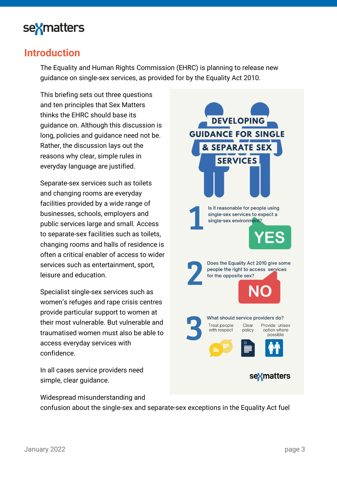

### <span id="page-2-0"></span>**Introduction**

The Equality and Human Rights Commission (EHRC) is planning to release new guidance on single-sex services, as provided for by the Equality Act 2010.

This briefing sets out three questions and ten principles that Sex Matters thinks the EHRC should base its guidance on. Although this discussion is long, policies and guidance need not be. Rather, the discussion lays out the reasons why clear, simple rules in everyday language are justified.

Separate-sex services such as toilets and changing rooms are everyday facilities provided by a wide range of businesses, schools, employers and public services large and small. Access to separate-sex facilities such as toilets, changing rooms and halls of residence is often a critical enabler of access to wider services such as entertainment, sport, leisure and education.

Specialist single-sex services such as women's refuges and rape crisis centres provide particular support to women at their most vulnerable. But vulnerable and traumatised women must also be able to access everyday services with confidence.

In all cases service providers need simple, clear guidance.

Widespread misunderstanding and

confusion about the single-sex and separate-sex exceptions in the Equality Act fuel

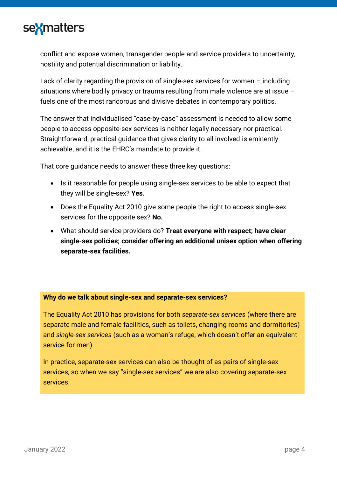

conflict and expose women, transgender people and service providers to uncertainty, hostility and potential discrimination or liability.

Lack of clarity regarding the provision of single-sex services for women – including situations where bodily privacy or trauma resulting from male violence are at issue – fuels one of the most rancorous and divisive debates in contemporary politics.

The answer that individualised "case-by-case" assessment is needed to allow some people to access opposite-sex services is neither legally necessary nor practical. Straightforward, practical guidance that gives clarity to all involved is eminently achievable, and it is the EHRC's mandate to provide it.

That core guidance needs to answer these three key questions:

- Is it reasonable for people using single-sex services to be able to expect that they will be single-sex? **Yes.**
- Does the Equality Act 2010 give some people the right to access single-sex services for the opposite sex? **No.**
- What should service providers do? **Treat everyone with respect; have clear single-sex policies; consider offering an additional unisex option when offering separate-sex facilities.**

#### **Why do we talk about single-sex and separate-sex services?**

The Equality Act 2010 has provisions for both *separate-sex services* (where there are separate male and female facilities, such as toilets, changing rooms and dormitories) and *single-sex services* (such as a woman's refuge, which doesn't offer an equivalent service for men).

In practice, separate-sex services can also be thought of as pairs of single-sex services, so when we say "single-sex services" we are also covering separate-sex services.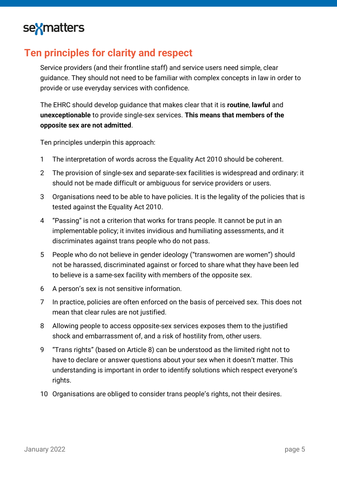# sexmatters

## <span id="page-4-0"></span>**Ten principles for clarity and respect**

Service providers (and their frontline staff) and service users need simple, clear guidance. They should not need to be familiar with complex concepts in law in order to provide or use everyday services with confidence.

The EHRC should develop guidance that makes clear that it is **routine**, **lawful** and **unexceptionable** to provide single-sex services. **This means that members of the opposite sex are not admitted**.

Ten principles underpin this approach:

- 1 The interpretation of words across the Equality Act 2010 should be coherent.
- 2 The provision of single-sex and separate-sex facilities is widespread and ordinary: it should not be made difficult or ambiguous for service providers or users.
- 3 Organisations need to be able to have policies. It is the legality of the policies that is tested against the Equality Act 2010.
- 4 "Passing" is not a criterion that works for trans people. It cannot be put in an implementable policy; it invites invidious and humiliating assessments, and it discriminates against trans people who do not pass.
- 5 People who do not believe in gender ideology ("transwomen are women") should not be harassed, discriminated against or forced to share what they have been led to believe is a same-sex facility with members of the opposite sex.
- 6 A person's sex is not sensitive information.
- 7 In practice, policies are often enforced on the basis of perceived sex. This does not mean that clear rules are not justified.
- 8 Allowing people to access opposite-sex services exposes them to the justified shock and embarrassment of, and a risk of hostility from, other users.
- 9 "Trans rights" (based on Article 8) can be understood as the limited right not to have to declare or answer questions about your sex when it doesn't matter. This understanding is important in order to identify solutions which respect everyone's rights.
- 10 Organisations are obliged to consider trans people's rights, not their desires.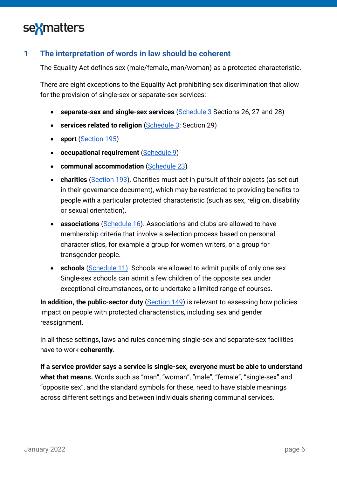

### <span id="page-5-0"></span>**1 The interpretation of words in law should be coherent**

The Equality Act defines sex (male/female, man/woman) as a protected characteristic.

There are eight exceptions to the Equality Act prohibiting sex discrimination that allow for the provision of single-sex or separate-sex services:

- **separate-sex and single-sex services** [\(Schedule 3](https://www.legislation.gov.uk/ukpga/2010/15/schedule/3) Sections 26, 27 and 28)
- **services related to religion** (**Schedule 3: Section 29**)
- **sport** [\(Section 195\)](https://www.legislation.gov.uk/ukpga/2010/15/section/195)
- **occupational requirement** [\(Schedule 9\)](https://www.legislation.gov.uk/ukpga/2010/15/schedule/9)
- **communal accommodation** [\(Schedule 23\)](https://www.legislation.gov.uk/ukpga/2010/15/schedule/23)
- **charities** [\(Section 193\)](https://www.legislation.gov.uk/ukpga/2010/15/section/193). Charities must act in pursuit of their objects (as set out in their governance document), which may be restricted to providing benefits to people with a particular protected characteristic (such as sex, religion, disability or sexual orientation).
- **associations** [\(Schedule 16\)](https://www.legislation.gov.uk/ukpga/2010/15/schedule/16). Associations and clubs are allowed to have membership criteria that involve a selection process based on personal characteristics, for example a group for women writers, or a group for transgender people.
- **schools** [\(Schedule 11\).](https://www.legislation.gov.uk/ukpga/2010/15/schedule/11/part/1/crossheading/admission-to-singlesex-schools) Schools are allowed to admit pupils of only one sex. Single-sex schools can admit a few children of the opposite sex under exceptional circumstances, or to undertake a limited range of courses.

**In addition, the public-sector duty** [\(Section 149\)](http://www.legislation.gov.uk/ukpga/2010/15/section/149) is relevant to assessing how policies impact on people with protected characteristics, including sex and gender reassignment.

In all these settings, laws and rules concerning single-sex and separate-sex facilities have to work **coherently**.

**If a service provider says a service is single-sex, everyone must be able to understand what that means.** Words such as "man", "woman", "male", "female", "single-sex" and "opposite sex", and the standard symbols for these, need to have stable meanings across different settings and between individuals sharing communal services.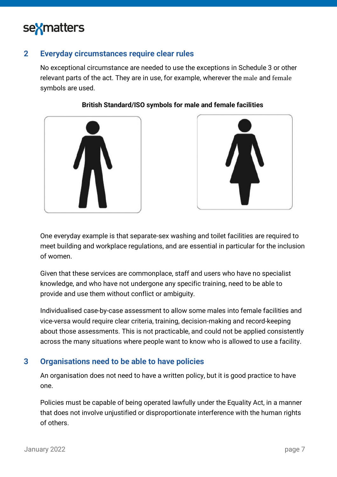

#### <span id="page-6-0"></span>**2 Everyday circumstances require clear rules**

No exceptional circumstance are needed to use the exceptions in Schedule 3 or other relevant parts of the act. They are in use, for example, wherever the male and female symbols are used.

**British Standard/ISO symbols for male and female facilities**





#### One everyday example is that separate-sex washing and toilet facilities are required to meet building and workplace regulations, and are essential in particular for the inclusion of women.

Given that these services are commonplace, staff and users who have no specialist knowledge, and who have not undergone any specific training, need to be able to provide and use them without conflict or ambiguity.

Individualised case-by-case assessment to allow some males into female facilities and vice-versa would require clear criteria, training, decision-making and record-keeping about those assessments. This is not practicable, and could not be applied consistently across the many situations where people want to know who is allowed to use a facility.

#### <span id="page-6-1"></span>**3 Organisations need to be able to have policies**

An organisation does not need to have a written policy, but it is good practice to have one.

Policies must be capable of being operated lawfully under the Equality Act, in a manner that does not involve unjustified or disproportionate interference with the human rights of others.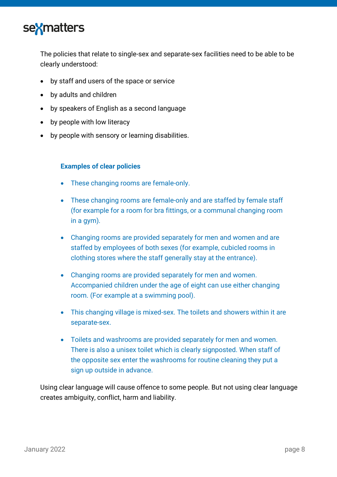

The policies that relate to single-sex and separate-sex facilities need to be able to be clearly understood:

- by staff and users of the space or service
- by adults and children
- by speakers of English as a second language
- by people with low literacy
- by people with sensory or learning disabilities.

#### **Examples of clear policies**

- These changing rooms are female-only.
- These changing rooms are female-only and are staffed by female staff (for example for a room for bra fittings, or a communal changing room in a gym).
- Changing rooms are provided separately for men and women and are staffed by employees of both sexes (for example, cubicled rooms in clothing stores where the staff generally stay at the entrance).
- Changing rooms are provided separately for men and women. Accompanied children under the age of eight can use either changing room. (For example at a swimming pool).
- This changing village is mixed-sex. The toilets and showers within it are separate-sex.
- Toilets and washrooms are provided separately for men and women. There is also a unisex toilet which is clearly signposted. When staff of the opposite sex enter the washrooms for routine cleaning they put a sign up outside in advance.

Using clear language will cause offence to some people. But not using clear language creates ambiguity, conflict, harm and liability.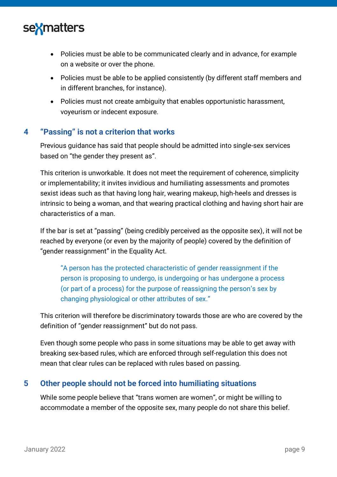

- Policies must be able to be communicated clearly and in advance, for example on a website or over the phone.
- Policies must be able to be applied consistently (by different staff members and in different branches, for instance).
- Policies must not create ambiguity that enables opportunistic harassment, voyeurism or indecent exposure.

#### <span id="page-8-0"></span>**4 "Passing" is not a criterion that works**

Previous guidance has said that people should be admitted into single-sex services based on "the gender they present as".

This criterion is unworkable. It does not meet the requirement of coherence, simplicity or implementability; it invites invidious and humiliating assessments and promotes sexist ideas such as that having long hair, wearing makeup, high-heels and dresses is intrinsic to being a woman, and that wearing practical clothing and having short hair are characteristics of a man.

If the bar is set at "passing" (being credibly perceived as the opposite sex), it will not be reached by everyone (or even by the majority of people) covered by the definition of "gender reassignment" in the Equality Act.

"A person has the protected characteristic of gender reassignment if the person is proposing to undergo, is undergoing or has undergone a process (or part of a process) for the purpose of reassigning the person's sex by changing physiological or other attributes of sex."

This criterion will therefore be discriminatory towards those are who are covered by the definition of "gender reassignment" but do not pass.

Even though some people who pass in some situations may be able to get away with breaking sex-based rules, which are enforced through self-regulation this does not mean that clear rules can be replaced with rules based on passing.

#### <span id="page-8-1"></span>**5 Other people should not be forced into humiliating situations**

While some people believe that "trans women are women", or might be willing to accommodate a member of the opposite sex, many people do not share this belief.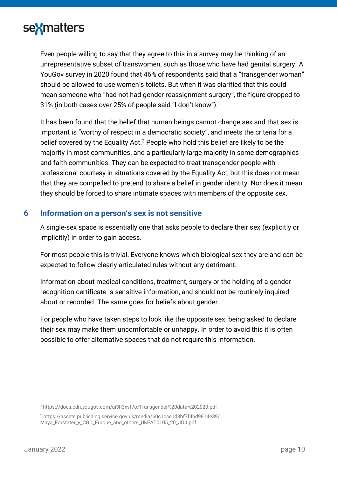

Even people willing to say that they agree to this in a survey may be thinking of an unrepresentative subset of transwomen, such as those who have had genital surgery. A YouGov survey in 2020 found that 46% of respondents said that a "transgender woman" should be allowed to use women's toilets. But when it was clarified that this could mean someone who "had not had gender reassignment surgery", the figure dropped to 31% (in both cases over 25% of people said "I don't know").<sup>1</sup>

It has been found that the belief that human beings cannot change sex and that sex is important is "worthy of respect in a democratic society", and meets the criteria for a belief covered by the Equality Act.<sup>2</sup> People who hold this belief are likely to be the majority in most communities, and a particularly large majority in some demographics and faith communities. They can be expected to treat transgender people with professional courtesy in situations covered by the Equality Act, but this does not mean that they are compelled to pretend to share a belief in gender identity. Nor does it mean they should be forced to share intimate spaces with members of the opposite sex.

#### <span id="page-9-0"></span>**6 Information on a person's sex is not sensitive**

A single-sex space is essentially one that asks people to declare their sex (explicitly or implicitly) in order to gain access.

For most people this is trivial. Everyone knows which biological sex they are and can be expected to follow clearly articulated rules without any detriment.

Information about medical conditions, treatment, surgery or the holding of a gender recognition certificate is sensitive information, and should not be routinely inquired about or recorded. The same goes for beliefs about gender.

For people who have taken steps to look like the opposite sex, being asked to declare their sex may make them uncomfortable or unhappy. In order to avoid this it is often possible to offer alternative spaces that do not require this information.

<sup>1</sup> <https://docs.cdn.yougov.com/ai3h3xvf7o/Transgender%20data%202020.pdf>

<sup>2</sup> [https://assets.publishing.service.gov.uk/media/60c1cce1d3bf7f4bd9814e39/](https://assets.publishing.service.gov.uk/media/60c1cce1d3bf7f4bd9814e39/Maya_Forstater_v_CGD_Europe_and_others_UKEAT0105_20_JOJ.pdf) [Maya\\_Forstater\\_v\\_CGD\\_Europe\\_and\\_others\\_UKEAT0105\\_20\\_JOJ.pdf](https://assets.publishing.service.gov.uk/media/60c1cce1d3bf7f4bd9814e39/Maya_Forstater_v_CGD_Europe_and_others_UKEAT0105_20_JOJ.pdf)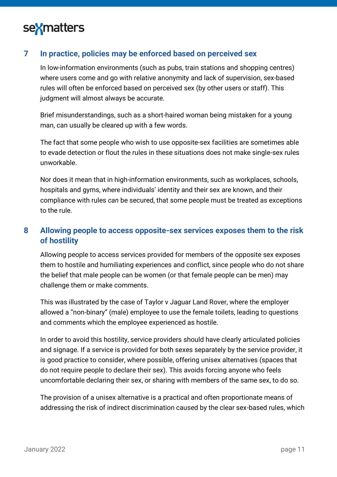

#### <span id="page-10-0"></span>**7 In practice, policies may be enforced based on perceived sex**

In low-information environments (such as pubs, train stations and shopping centres) where users come and go with relative anonymity and lack of supervision, sex-based rules will often be enforced based on perceived sex (by other users or staff). This judgment will almost always be accurate.

Brief misunderstandings, such as a short-haired woman being mistaken for a young man, can usually be cleared up with a few words.

The fact that some people who wish to use opposite-sex facilities are sometimes able to evade detection or flout the rules in these situations does not make single-sex rules unworkable.

Nor does it mean that in high-information environments, such as workplaces, schools, hospitals and gyms, where individuals' identity and their sex are known, and their compliance with rules *can* be secured, that some people must be treated as exceptions to the rule.

### <span id="page-10-1"></span>**8 Allowing people to access opposite-sex services exposes them to the risk of hostility**

Allowing people to access services provided for members of the opposite sex exposes them to hostile and humiliating experiences and conflict, since people who do not share the belief that male people can be women (or that female people can be men) may challenge them or make comments.

This was illustrated by the case of Taylor v Jaguar Land Rover, where the employer allowed a "non-binary" (male) employee to use the female toilets, leading to questions and comments which the employee experienced as hostile.

In order to avoid this hostility, service providers should have clearly articulated policies and signage. If a service is provided for both sexes separately by the service provider, it is good practice to consider, where possible, offering unisex alternatives (spaces that do not require people to declare their sex). This avoids forcing anyone who feels uncomfortable declaring their sex, or sharing with members of the same sex, to do so.

The provision of a unisex alternative is a practical and often proportionate means of addressing the risk of indirect discrimination caused by the clear sex-based rules, which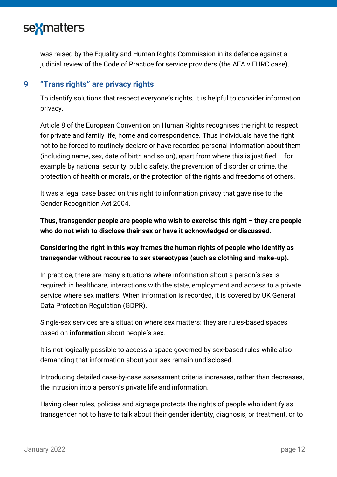

was raised by the Equality and Human Rights Commission in its defence against a judicial review of the Code of Practice for service providers (the AEA v EHRC case).

#### <span id="page-11-0"></span>**9 "Trans rights" are privacy rights**

To identify solutions that respect everyone's rights, it is helpful to consider information privacy.

Article 8 of the European Convention on Human Rights recognises the right to respect for private and family life, home and correspondence. Thus individuals have the right not to be forced to routinely declare or have recorded personal information about them (including name, sex, date of birth and so on), apart from where this is justified  $-$  for example by national security, public safety, the prevention of disorder or crime, the protection of health or morals, or the protection of the rights and freedoms of others.

It was a legal case based on this right to information privacy that gave rise to the Gender Recognition Act 2004.

**Thus, transgender people are people who wish to exercise this right – they are people who do not wish to disclose their sex or have it acknowledged or discussed.**

**Considering the right in this way frames the human rights of people who identify as transgender without recourse to sex stereotypes (such as clothing and make-up).**

In practice, there are many situations where information about a person's sex is required: in healthcare, interactions with the state, employment and access to a private service where sex matters. When information is recorded, it is covered by UK General Data Protection Regulation (GDPR).

Single-sex services are a situation where sex matters: they are rules-based spaces based on **information** about people's sex.

It is not logically possible to access a space governed by sex-based rules while also demanding that information about your sex remain undisclosed.

Introducing detailed case-by-case assessment criteria increases, rather than decreases, the intrusion into a person's private life and information.

Having clear rules, policies and signage protects the rights of people who identify as transgender not to have to talk about their gender identity, diagnosis, or treatment, or to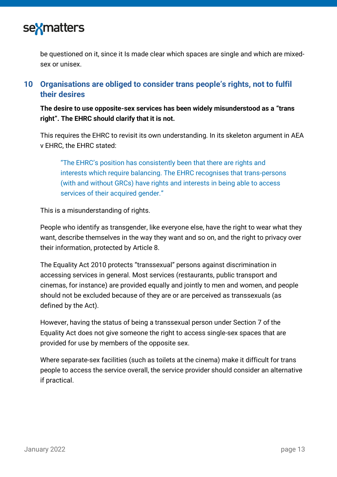

be questioned on it, since it Is made clear which spaces are single and which are mixedsex or unisex.

### <span id="page-12-0"></span>**10 Organisations are obliged to consider trans people's rights, not to fulfil their desires**

**The desire to use opposite-sex services has been widely misunderstood as a "trans right". The EHRC should clarify that it is not.**

This requires the EHRC to revisit its own understanding. In its skeleton argument in AEA v EHRC, the EHRC stated:

"The EHRC's position has consistently been that there are rights and interests which require balancing. The EHRC recognises that trans-persons (with and without GRCs) have rights and interests in being able to access services of their acquired gender."

This is a misunderstanding of rights.

People who identify as transgender, like everyone else, have the right to wear what they want, describe themselves in the way they want and so on, and the right to privacy over their information, protected by Article 8.

The Equality Act 2010 protects "transsexual" persons against discrimination in accessing services in general. Most services (restaurants, public transport and cinemas, for instance) are provided equally and jointly to men and women, and people should not be excluded because of they are or are perceived as transsexuals (as defined by the Act).

However, having the status of being a transsexual person under Section 7 of the Equality Act does not give someone the right to access single-sex spaces that are provided for use by members of the opposite sex.

Where separate-sex facilities (such as toilets at the cinema) make it difficult for trans people to access the service overall, the service provider should consider an alternative if practical.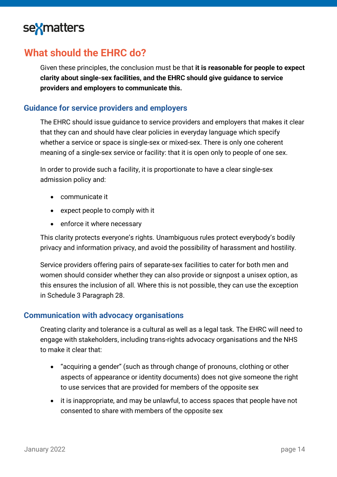

## <span id="page-13-0"></span>**What should the EHRC do?**

Given these principles, the conclusion must be that **it is reasonable for people to expect clarity about single-sex facilities, and the EHRC should give guidance to service providers and employers to communicate this.** 

#### <span id="page-13-1"></span>**Guidance for service providers and employers**

The EHRC should issue guidance to service providers and employers that makes it clear that they can and should have clear policies in everyday language which specify whether a service or space is single-sex or mixed-sex. There is only one coherent meaning of a single-sex service or facility: that it is open only to people of one sex.

In order to provide such a facility, it is proportionate to have a clear single-sex admission policy and:

- communicate it
- expect people to comply with it
- enforce it where necessary

This clarity protects everyone's rights. Unambiguous rules protect everybody's bodily privacy and information privacy, and avoid the possibility of harassment and hostility.

Service providers offering pairs of separate-sex facilities to cater for both men and women should consider whether they can also provide or signpost a unisex option, as this ensures the inclusion of all. Where this is not possible, they can use the exception in Schedule 3 Paragraph 28.

#### <span id="page-13-2"></span>**Communication with advocacy organisations**

Creating clarity and tolerance is a cultural as well as a legal task. The EHRC will need to engage with stakeholders, including trans-rights advocacy organisations and the NHS to make it clear that:

- "acquiring a gender" (such as through change of pronouns, clothing or other aspects of appearance or identity documents) does not give someone the right to use services that are provided for members of the opposite sex
- it is inappropriate, and may be unlawful, to access spaces that people have not consented to share with members of the opposite sex